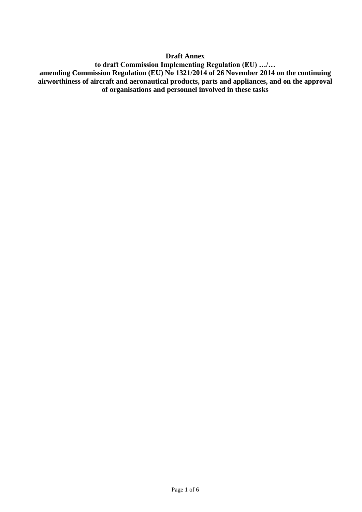#### **Draft Annex**

**to draft Commission Implementing Regulation (EU) …/… amending Commission Regulation (EU) No 1321/2014 of 26 November 2014 on the continuing airworthiness of aircraft and aeronautical products, parts and appliances, and on the approval of organisations and personnel involved in these tasks**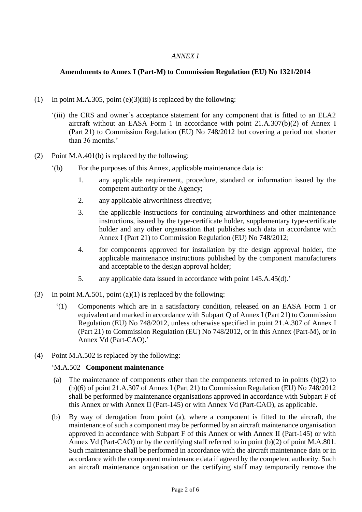# *ANNEX I*

### **Amendments to Annex I (Part-M) to Commission Regulation (EU) No 1321/2014**

- (1) In point M.A.305, point  $(e)(3)(iii)$  is replaced by the following:
	- '(iii) the CRS and owner's acceptance statement for any component that is fitted to an ELA2 aircraft without an EASA Form 1 in accordance with point 21.A.307(b)(2) of Annex I (Part 21) to Commission Regulation (EU) No 748/2012 but covering a period not shorter than 36 months.'
- (2) Point M.A.401(b) is replaced by the following:
	- '(b) For the purposes of this Annex, applicable maintenance data is:
		- 1. any applicable requirement, procedure, standard or information issued by the competent authority or the Agency;
		- 2. any applicable airworthiness directive;
		- 3. the applicable instructions for continuing airworthiness and other maintenance instructions, issued by the type-certificate holder, supplementary type-certificate holder and any other organisation that publishes such data in accordance with Annex I (Part 21) to Commission Regulation (EU) No 748/2012;
		- 4. for components approved for installation by the design approval holder, the applicable maintenance instructions published by the component manufacturers and acceptable to the design approval holder;
		- 5. any applicable data issued in accordance with point 145.A.45(d).'
- (3) In point M.A.501, point (a)(1) is replaced by the following:
	- '(1) Components which are in a satisfactory condition, released on an EASA Form 1 or equivalent and marked in accordance with Subpart Q of Annex I (Part 21) to Commission Regulation (EU) No 748/2012, unless otherwise specified in point 21.A.307 of Annex I (Part 21) to Commission Regulation (EU) No 748/2012, or in this Annex (Part-M), or in Annex Vd (Part-CAO).'
- (4) Point M.A.502 is replaced by the following:

#### 'M.A.502 **Component maintenance**

- (a) The maintenance of components other than the components referred to in points (b)(2) to (b)(6) of point 21.A.307 of Annex I (Part 21) to Commission Regulation (EU) No 748/2012 shall be performed by maintenance organisations approved in accordance with Subpart F of this Annex or with Annex II (Part-145) or with Annex Vd (Part-CAO), as applicable.
- (b) By way of derogation from point (a), where a component is fitted to the aircraft, the maintenance of such a component may be performed by an aircraft maintenance organisation approved in accordance with Subpart F of this Annex or with Annex II (Part-145) or with Annex Vd (Part-CAO) or by the certifying staff referred to in point (b)(2) of point M.A.801. Such maintenance shall be performed in accordance with the aircraft maintenance data or in accordance with the component maintenance data if agreed by the competent authority. Such an aircraft maintenance organisation or the certifying staff may temporarily remove the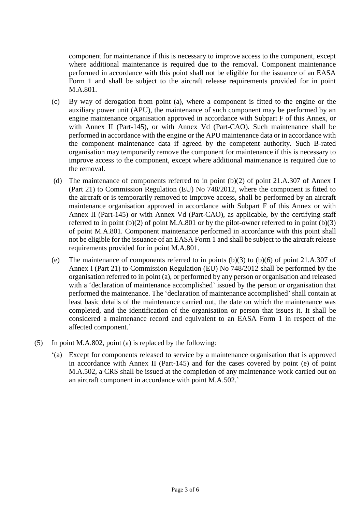component for maintenance if this is necessary to improve access to the component, except where additional maintenance is required due to the removal. Component maintenance performed in accordance with this point shall not be eligible for the issuance of an EASA Form 1 and shall be subject to the aircraft release requirements provided for in point M.A.801.

- (c) By way of derogation from point (a), where a component is fitted to the engine or the auxiliary power unit (APU), the maintenance of such component may be performed by an engine maintenance organisation approved in accordance with Subpart F of this Annex, or with Annex II (Part-145), or with Annex Vd (Part-CAO). Such maintenance shall be performed in accordance with the engine or the APU maintenance data or in accordance with the component maintenance data if agreed by the competent authority. Such B-rated organisation may temporarily remove the component for maintenance if this is necessary to improve access to the component, except where additional maintenance is required due to the removal.
- (d) The maintenance of components referred to in point (b)(2) of point 21.A.307 of Annex I (Part 21) to Commission Regulation (EU) No 748/2012, where the component is fitted to the aircraft or is temporarily removed to improve access, shall be performed by an aircraft maintenance organisation approved in accordance with Subpart F of this Annex or with Annex II (Part-145) or with Annex Vd (Part-CAO), as applicable, by the certifying staff referred to in point  $(b)(2)$  of point M.A.801 or by the pilot-owner referred to in point  $(b)(3)$ of point M.A.801. Component maintenance performed in accordance with this point shall not be eligible for the issuance of an EASA Form 1 and shall be subject to the aircraft release requirements provided for in point M.A.801.
- (e) The maintenance of components referred to in points (b)(3) to (b)(6) of point 21.A.307 of Annex I (Part 21) to Commission Regulation (EU) No 748/2012 shall be performed by the organisation referred to in point (a), or performed by any person or organisation and released with a 'declaration of maintenance accomplished' issued by the person or organisation that performed the maintenance. The 'declaration of maintenance accomplished' shall contain at least basic details of the maintenance carried out, the date on which the maintenance was completed, and the identification of the organisation or person that issues it. It shall be considered a maintenance record and equivalent to an EASA Form 1 in respect of the affected component.'
- (5) In point M.A.802, point (a) is replaced by the following:
	- '(a) Except for components released to service by a maintenance organisation that is approved in accordance with Annex II (Part-145) and for the cases covered by point (e) of point M.A.502, a CRS shall be issued at the completion of any maintenance work carried out on an aircraft component in accordance with point M.A.502.'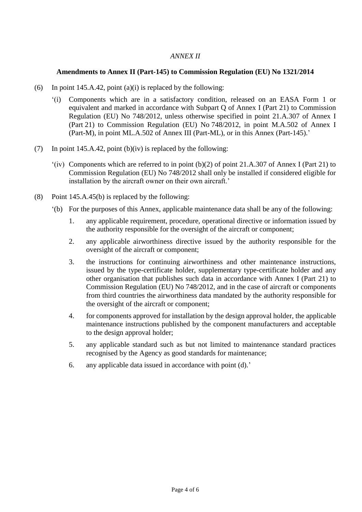# *ANNEX II*

### **Amendments to Annex II (Part-145) to Commission Regulation (EU) No 1321/2014**

- (6) In point 145.A.42, point (a)(i) is replaced by the following:
	- '(i) Components which are in a satisfactory condition, released on an EASA Form 1 or equivalent and marked in accordance with Subpart Q of Annex I (Part 21) to Commission Regulation (EU) No 748/2012, unless otherwise specified in point 21.A.307 of Annex I (Part 21) to Commission Regulation (EU) No 748/2012, in point M.A.502 of Annex I (Part-M), in point ML.A.502 of Annex III (Part-ML), or in this Annex (Part-145).'
- (7) In point 145.A.42, point (b)(iv) is replaced by the following:
	- '(iv) Components which are referred to in point (b)(2) of point 21.A.307 of Annex I (Part 21) to Commission Regulation (EU) No 748/2012 shall only be installed if considered eligible for installation by the aircraft owner on their own aircraft.'
- (8) Point 145.A.45(b) is replaced by the following:
	- '(b) For the purposes of this Annex, applicable maintenance data shall be any of the following:
		- 1. any applicable requirement, procedure, operational directive or information issued by the authority responsible for the oversight of the aircraft or component;
		- 2. any applicable airworthiness directive issued by the authority responsible for the oversight of the aircraft or component;
		- 3. the instructions for continuing airworthiness and other maintenance instructions, issued by the type-certificate holder, supplementary type-certificate holder and any other organisation that publishes such data in accordance with Annex I (Part 21) to Commission Regulation (EU) No 748/2012, and in the case of aircraft or components from third countries the airworthiness data mandated by the authority responsible for the oversight of the aircraft or component;
		- 4. for components approved for installation by the design approval holder, the applicable maintenance instructions published by the component manufacturers and acceptable to the design approval holder;
		- 5. any applicable standard such as but not limited to maintenance standard practices recognised by the Agency as good standards for maintenance;
		- 6. any applicable data issued in accordance with point (d).'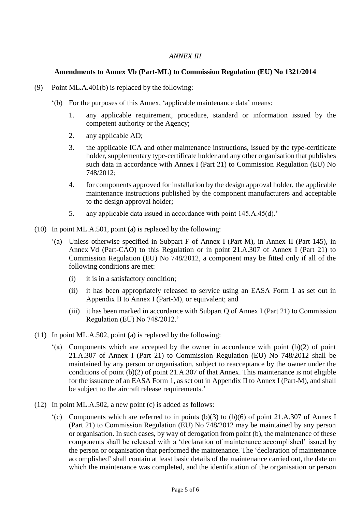## *ANNEX III*

## **Amendments to Annex Vb (Part-ML) to Commission Regulation (EU) No 1321/2014**

- (9) Point ML.A.401(b) is replaced by the following:
	- '(b) For the purposes of this Annex, 'applicable maintenance data' means:
		- 1. any applicable requirement, procedure, standard or information issued by the competent authority or the Agency;
		- 2. any applicable AD;
		- 3. the applicable ICA and other maintenance instructions, issued by the type-certificate holder, supplementary type-certificate holder and any other organisation that publishes such data in accordance with Annex I (Part 21) to Commission Regulation (EU) No 748/2012;
		- 4. for components approved for installation by the design approval holder, the applicable maintenance instructions published by the component manufacturers and acceptable to the design approval holder;
		- 5. any applicable data issued in accordance with point 145.A.45(d).'
- (10) In point ML.A.501, point (a) is replaced by the following:
	- '(a) Unless otherwise specified in Subpart F of Annex I (Part-M), in Annex II (Part-145), in Annex Vd (Part-CAO) to this Regulation or in point 21.A.307 of Annex I (Part 21) to Commission Regulation (EU) No 748/2012, a component may be fitted only if all of the following conditions are met:
		- (i) it is in a satisfactory condition;
		- (ii) it has been appropriately released to service using an EASA Form 1 as set out in Appendix II to Annex I (Part-M), or equivalent; and
		- (iii) it has been marked in accordance with Subpart Q of Annex I (Part 21) to Commission Regulation (EU) No 748/2012.'
- (11) In point ML.A.502, point (a) is replaced by the following:
	- '(a) Components which are accepted by the owner in accordance with point (b)(2) of point 21.A.307 of Annex I (Part 21) to Commission Regulation (EU) No 748/2012 shall be maintained by any person or organisation, subject to reacceptance by the owner under the conditions of point (b)(2) of point 21.A.307 of that Annex. This maintenance is not eligible for the issuance of an EASA Form 1, as set out in Appendix II to Annex I (Part-M), and shall be subject to the aircraft release requirements.'
- (12) In point ML.A.502, a new point (c) is added as follows:
	- '(c) Components which are referred to in points (b)(3) to (b)(6) of point 21.A.307 of Annex I (Part 21) to Commission Regulation (EU) No 748/2012 may be maintained by any person or organisation. In such cases, by way of derogation from point (b), the maintenance of these components shall be released with a 'declaration of maintenance accomplished' issued by the person or organisation that performed the maintenance. The 'declaration of maintenance accomplished' shall contain at least basic details of the maintenance carried out, the date on which the maintenance was completed, and the identification of the organisation or person